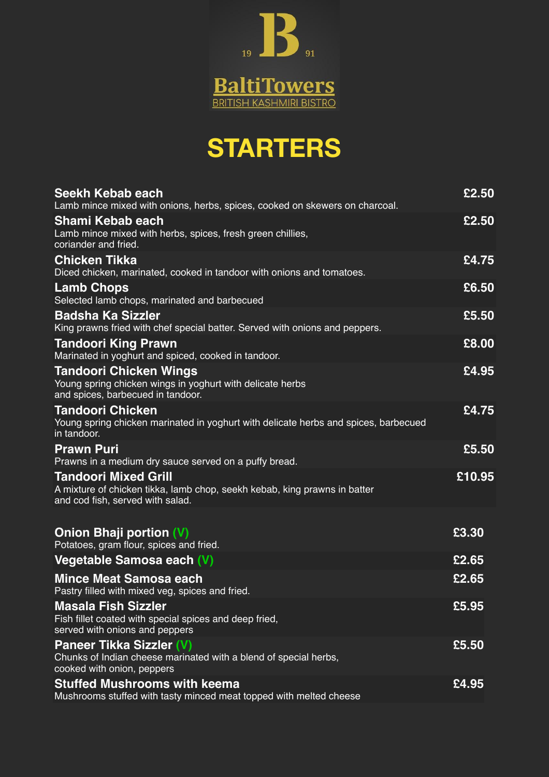

# **STARTERS**

| Seekh Kebab each<br>Lamb mince mixed with onions, herbs, spices, cooked on skewers on charcoal.                                       | £2.50  |
|---------------------------------------------------------------------------------------------------------------------------------------|--------|
| Shami Kebab each<br>Lamb mince mixed with herbs, spices, fresh green chillies,<br>coriander and fried.                                | £2.50  |
| <b>Chicken Tikka</b><br>Diced chicken, marinated, cooked in tandoor with onions and tomatoes.                                         | £4.75  |
| <b>Lamb Chops</b><br>Selected lamb chops, marinated and barbecued                                                                     | £6.50  |
| <b>Badsha Ka Sizzler</b><br>King prawns fried with chef special batter. Served with onions and peppers.                               | £5.50  |
| Tandoori King Prawn<br>Marinated in yoghurt and spiced, cooked in tandoor.                                                            | £8.00  |
| Tandoori Chicken Wings<br>Young spring chicken wings in yoghurt with delicate herbs<br>and spices, barbecued in tandoor.              | £4.95  |
| <b>Tandoori Chicken</b><br>Young spring chicken marinated in yoghurt with delicate herbs and spices, barbecued<br>in tandoor.         | £4.75  |
| <b>Prawn Puri</b><br>Prawns in a medium dry sauce served on a puffy bread.                                                            | £5.50  |
| Tandoori Mixed Grill<br>A mixture of chicken tikka, lamb chop, seekh kebab, king prawns in batter<br>and cod fish, served with salad. | £10.95 |
| <b>Onion Bhaji portion (V)</b><br>Potatoes, gram flour, spices and fried.                                                             | £3.30  |
| Vegetable Samosa each (V)                                                                                                             | £2.65  |
| <b>Mince Meat Samosa each</b><br>Pastry filled with mixed veg, spices and fried.                                                      | £2.65  |
| <b>Masala Fish Sizzler</b><br>Fish fillet coated with special spices and deep fried,<br>served with onions and peppers                | £5.95  |
| Paneer Tikka Sizzler (V)<br>Chunks of Indian cheese marinated with a blend of special herbs,<br>cooked with onion, peppers            | £5.50  |
| <b>Stuffed Mushrooms with keema</b><br>Mushrooms stuffed with tasty minced meat topped with melted cheese                             | £4.95  |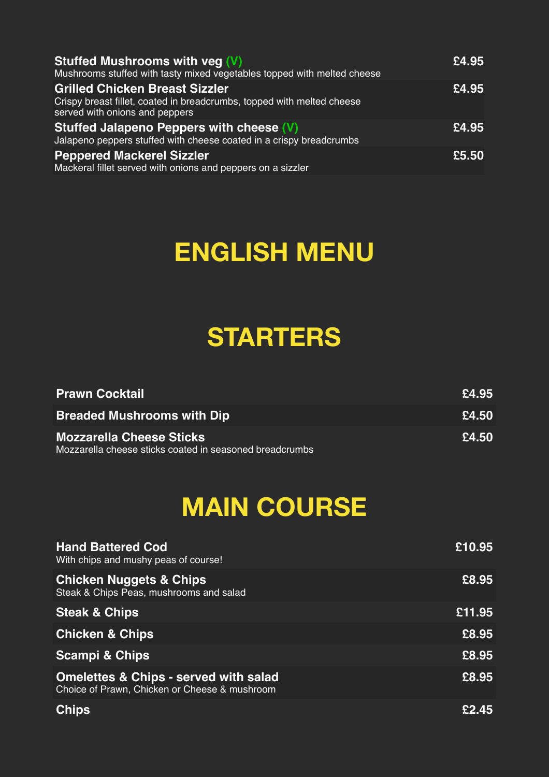| <b>Stuffed Mushrooms with veg (V)</b><br>Mushrooms stuffed with tasty mixed vegetables topped with melted cheese                                  | £4.95 |
|---------------------------------------------------------------------------------------------------------------------------------------------------|-------|
| <b>Grilled Chicken Breast Sizzler</b><br>Crispy breast fillet, coated in breadcrumbs, topped with melted cheese<br>served with onions and peppers | £4.95 |
| Stuffed Jalapeno Peppers with cheese (V)<br>Jalapeno peppers stuffed with cheese coated in a crispy breadcrumbs                                   | £4.95 |
| <b>Peppered Mackerel Sizzler</b><br>Mackeral fillet served with onions and peppers on a sizzler                                                   | £5.50 |

## **ENGLISH MENU**

## **STARTERS**

| <b>Prawn Cocktail</b>                                                                      | £4.95 |
|--------------------------------------------------------------------------------------------|-------|
| <b>Breaded Mushrooms with Dip</b>                                                          | £4.50 |
| <b>Mozzarella Cheese Sticks</b><br>Mozzarella cheese sticks coated in seasoned breadcrumbs | £4.50 |

## **MAIN COURSE**

| <b>Hand Battered Cod</b><br>With chips and mushy peas of course!                                  | £10.95 |
|---------------------------------------------------------------------------------------------------|--------|
| <b>Chicken Nuggets &amp; Chips</b><br>Steak & Chips Peas, mushrooms and salad                     | £8.95  |
| <b>Steak &amp; Chips</b>                                                                          | £11.95 |
| <b>Chicken &amp; Chips</b>                                                                        | £8.95  |
| <b>Scampi &amp; Chips</b>                                                                         | £8.95  |
| <b>Omelettes &amp; Chips - served with salad</b><br>Choice of Prawn, Chicken or Cheese & mushroom | £8.95  |
| <b>Chips</b>                                                                                      | 45     |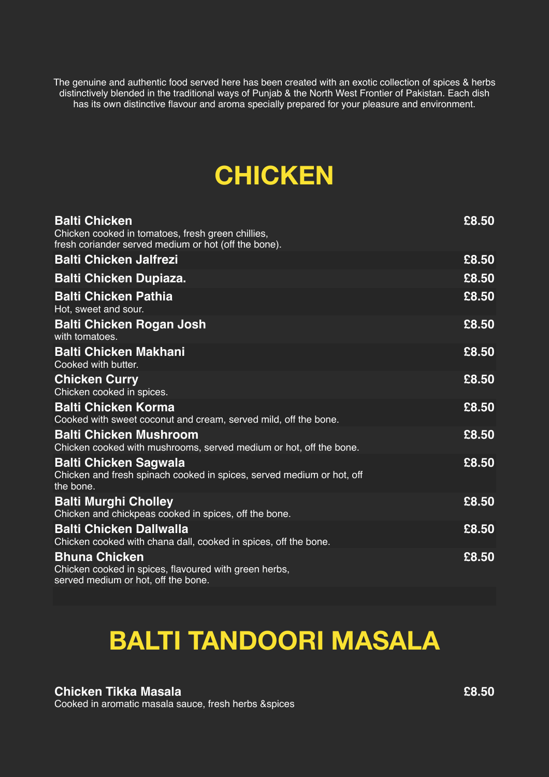The genuine and authentic food served here has been created with an exotic collection of spices & herbs distinctively blended in the traditional ways of Punjab & the North West Frontier of Pakistan. Each dish has its own distinctive flavour and aroma specially prepared for your pleasure and environment.

### **CHICKEN**

| <b>Balti Chicken</b><br>Chicken cooked in tomatoes, fresh green chillies,<br>fresh coriander served medium or hot (off the bone). | £8.50 |
|-----------------------------------------------------------------------------------------------------------------------------------|-------|
| <b>Balti Chicken Jalfrezi</b>                                                                                                     | £8.50 |
| <b>Balti Chicken Dupiaza.</b>                                                                                                     | £8.50 |
| <b>Balti Chicken Pathia</b><br>Hot, sweet and sour.                                                                               | £8.50 |
| <b>Balti Chicken Rogan Josh</b><br>with tomatoes.                                                                                 | £8.50 |
| <b>Balti Chicken Makhani</b><br>Cooked with butter.                                                                               | £8.50 |
| <b>Chicken Curry</b><br>Chicken cooked in spices.                                                                                 | £8.50 |
| <b>Balti Chicken Korma</b><br>Cooked with sweet coconut and cream, served mild, off the bone.                                     | £8.50 |
| <b>Balti Chicken Mushroom</b><br>Chicken cooked with mushrooms, served medium or hot, off the bone.                               | £8.50 |
| <b>Balti Chicken Sagwala</b><br>Chicken and fresh spinach cooked in spices, served medium or hot, off<br>the bone.                | £8.50 |
| <b>Balti Murghi Cholley</b><br>Chicken and chickpeas cooked in spices, off the bone.                                              | £8.50 |
| <b>Balti Chicken Dallwalla</b><br>Chicken cooked with chana dall, cooked in spices, off the bone.                                 | £8.50 |
| <b>Bhuna Chicken</b><br>Chicken cooked in spices, flavoured with green herbs,<br>served medium or hot, off the bone.              | £8.50 |

## **BALTI TANDOORI MASALA**

#### **Chicken Tikka Masala**

Cooked in aromatic masala sauce, fresh herbs &spices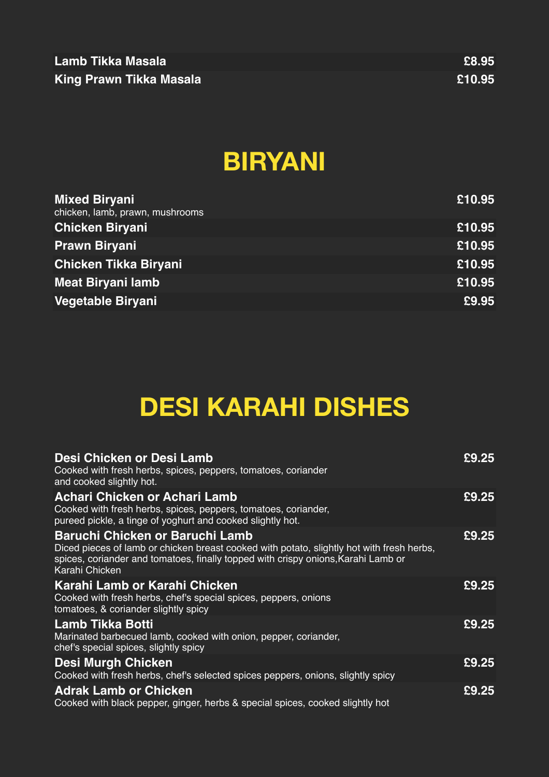### **BIRYANI**

| <b>Mixed Biryani</b><br>chicken, lamb, prawn, mushrooms | £10.95 |
|---------------------------------------------------------|--------|
| <b>Chicken Biryani</b>                                  | £10.95 |
| <b>Prawn Biryani</b>                                    | £10.95 |
| <b>Chicken Tikka Biryani</b>                            | £10.95 |
| <b>Meat Biryani lamb</b>                                | £10.95 |
| Vegetable Biryani                                       | £9.95  |

## **DESI KARAHI DISHES**

| Desi Chicken or Desi Lamb<br>Cooked with fresh herbs, spices, peppers, tomatoes, coriander<br>and cooked slightly hot.                                                                                                                     | £9.25 |
|--------------------------------------------------------------------------------------------------------------------------------------------------------------------------------------------------------------------------------------------|-------|
| <b>Achari Chicken or Achari Lamb</b><br>Cooked with fresh herbs, spices, peppers, tomatoes, coriander,<br>pureed pickle, a tinge of yoghurt and cooked slightly hot.                                                                       | £9.25 |
| <b>Baruchi Chicken or Baruchi Lamb</b><br>Diced pieces of lamb or chicken breast cooked with potato, slightly hot with fresh herbs,<br>spices, coriander and tomatoes, finally topped with crispy onions, Karahi Lamb or<br>Karahi Chicken | £9.25 |
| Karahi Lamb or Karahi Chicken<br>Cooked with fresh herbs, chef's special spices, peppers, onions<br>tomatoes, & coriander slightly spicy                                                                                                   | £9.25 |
| <b>Lamb Tikka Botti</b><br>Marinated barbecued lamb, cooked with onion, pepper, coriander,<br>chef's special spices, slightly spicy                                                                                                        | £9.25 |
| <b>Desi Murgh Chicken</b><br>Cooked with fresh herbs, chef's selected spices peppers, onions, slightly spicy                                                                                                                               | £9.25 |
| <b>Adrak Lamb or Chicken</b><br>Cooked with black pepper, ginger, herbs & special spices, cooked slightly hot                                                                                                                              | £9.25 |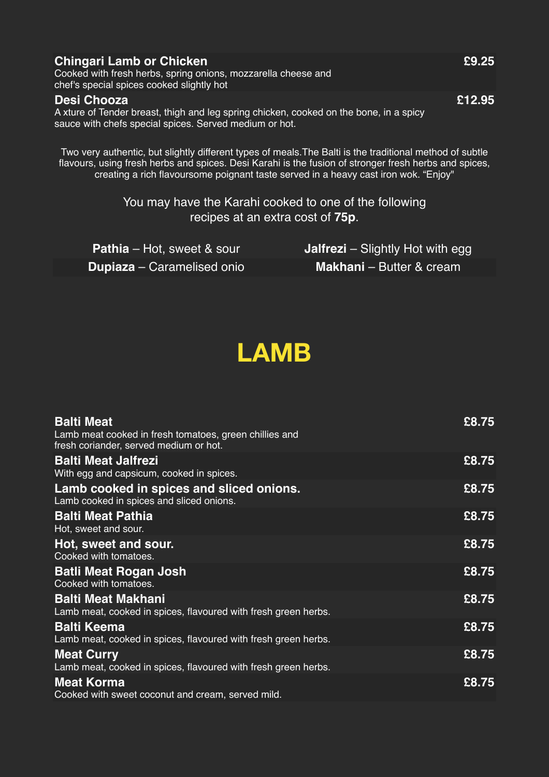| <b>Chingari Lamb or Chicken</b><br>Cooked with fresh herbs, spring onions, mozzarella cheese and<br>chef's special spices cooked slightly hot                   | £9.25  |
|-----------------------------------------------------------------------------------------------------------------------------------------------------------------|--------|
| Desi Chooza<br>A xture of Tender breast, thigh and leg spring chicken, cooked on the bone, in a spicy<br>sauce with chefs special spices. Served medium or hot. | £12.95 |

Two very authentic, but slightly different types of meals.The Balti is the traditional method of subtle flavours, using fresh herbs and spices. Desi Karahi is the fusion of stronger fresh herbs and spices, creating a rich flavoursome poignant taste served in a heavy cast iron wok. "Enjoy"

> You may have the Karahi cooked to one of the following recipes at an extra cost of **75p**.

| <b>Pathia</b> – Hot, sweet & sour | <b>Jalfrezi</b> – Slightly Hot with egg |
|-----------------------------------|-----------------------------------------|
| <b>Dupiaza</b> – Caramelised onio | <b>Makhani</b> – Butter & cream         |

#### **LAMB**

| <b>Balti Meat</b><br>Lamb meat cooked in fresh tomatoes, green chillies and<br>fresh coriander, served medium or hot. | £8.75 |
|-----------------------------------------------------------------------------------------------------------------------|-------|
| <b>Balti Meat Jalfrezi</b><br>With egg and capsicum, cooked in spices.                                                | £8.75 |
| Lamb cooked in spices and sliced onions.<br>Lamb cooked in spices and sliced onions.                                  | £8.75 |
| <b>Balti Meat Pathia</b><br>Hot, sweet and sour.                                                                      | £8.75 |
| Hot, sweet and sour.<br>Cooked with tomatoes.                                                                         | £8.75 |
| <b>Batli Meat Rogan Josh</b><br>Cooked with tomatoes.                                                                 | £8.75 |
| <b>Balti Meat Makhani</b><br>Lamb meat, cooked in spices, flavoured with fresh green herbs.                           | £8.75 |
| <b>Balti Keema</b><br>Lamb meat, cooked in spices, flavoured with fresh green herbs.                                  | £8.75 |
| <b>Meat Curry</b><br>Lamb meat, cooked in spices, flavoured with fresh green herbs.                                   | £8.75 |
| <b>Meat Korma</b><br>Cooked with sweet coconut and cream, served mild.                                                | £8.75 |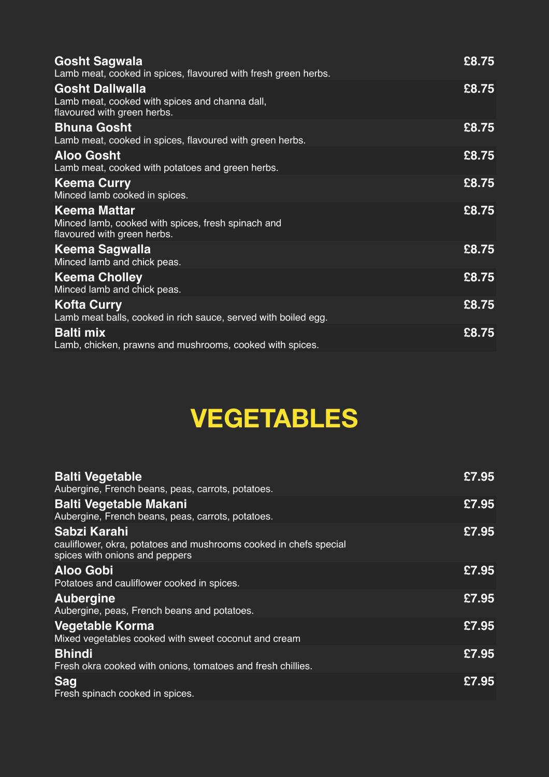| <b>Gosht Sagwala</b><br>Lamb meat, cooked in spices, flavoured with fresh green herbs.                   | £8.75 |
|----------------------------------------------------------------------------------------------------------|-------|
| <b>Gosht Dallwalla</b><br>Lamb meat, cooked with spices and channa dall,<br>flavoured with green herbs.  | £8.75 |
| <b>Bhuna Gosht</b><br>Lamb meat, cooked in spices, flavoured with green herbs.                           | £8.75 |
| <b>Aloo Gosht</b><br>Lamb meat, cooked with potatoes and green herbs.                                    | £8.75 |
| <b>Keema Curry</b><br>Minced lamb cooked in spices.                                                      | £8.75 |
| <b>Keema Mattar</b><br>Minced lamb, cooked with spices, fresh spinach and<br>flavoured with green herbs. | £8.75 |
| <b>Keema Sagwalla</b><br>Minced lamb and chick peas.                                                     | £8.75 |
| <b>Keema Cholley</b><br>Minced lamb and chick peas.                                                      | £8.75 |
| <b>Kofta Curry</b><br>Lamb meat balls, cooked in rich sauce, served with boiled egg.                     | £8.75 |
| <b>Balti mix</b><br>Lamb, chicken, prawns and mushrooms, cooked with spices.                             | £8.75 |

# **VEGETABLES**

| <b>Balti Vegetable</b><br>Aubergine, French beans, peas, carrots, potatoes.                                         | £7.95 |
|---------------------------------------------------------------------------------------------------------------------|-------|
| <b>Balti Vegetable Makani</b><br>Aubergine, French beans, peas, carrots, potatoes.                                  | £7.95 |
| Sabzi Karahi<br>cauliflower, okra, potatoes and mushrooms cooked in chefs special<br>spices with onions and peppers | £7.95 |
| <b>Aloo Gobi</b><br>Potatoes and cauliflower cooked in spices.                                                      | £7.95 |
| <b>Aubergine</b><br>Aubergine, peas, French beans and potatoes.                                                     | £7.95 |
| <b>Vegetable Korma</b><br>Mixed vegetables cooked with sweet coconut and cream                                      | £7.95 |
| <b>Bhindi</b><br>Fresh okra cooked with onions, tomatoes and fresh chillies.                                        | £7.95 |
| <b>Sag</b><br>Fresh spinach cooked in spices.                                                                       | £7.95 |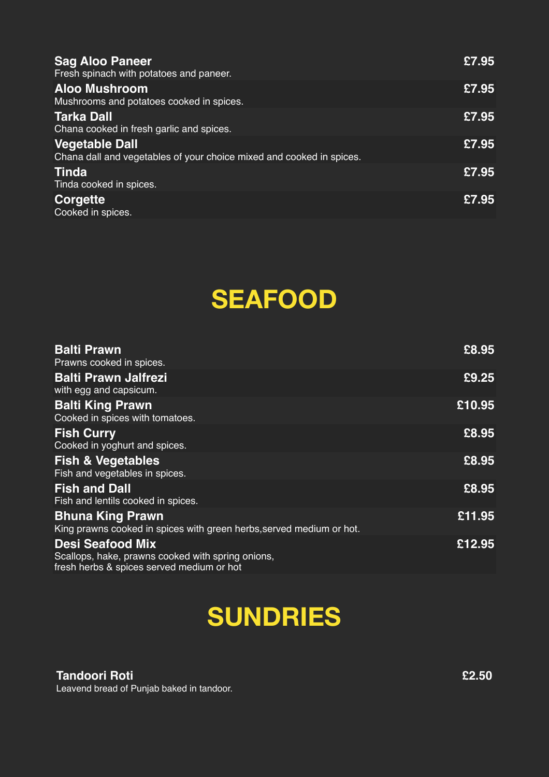| <b>Sag Aloo Paneer</b><br>Fresh spinach with potatoes and paneer.                             | £7.95 |
|-----------------------------------------------------------------------------------------------|-------|
| <b>Aloo Mushroom</b><br>Mushrooms and potatoes cooked in spices.                              | £7.95 |
| <b>Tarka Dall</b><br>Chana cooked in fresh garlic and spices.                                 | £7.95 |
| <b>Vegetable Dall</b><br>Chana dall and vegetables of your choice mixed and cooked in spices. | £7.95 |
| <b>Tinda</b><br>Tinda cooked in spices.                                                       | £7.95 |
| <b>Corgette</b><br>Cooked in spices.                                                          | £7.95 |

#### **SEAFOOD**

| <b>Balti Prawn</b><br>Prawns cooked in spices.                                                                            | £8.95  |
|---------------------------------------------------------------------------------------------------------------------------|--------|
| <b>Balti Prawn Jalfrezi</b><br>with egg and capsicum.                                                                     | £9.25  |
| <b>Balti King Prawn</b><br>Cooked in spices with tomatoes.                                                                | £10.95 |
| <b>Fish Curry</b><br>Cooked in yoghurt and spices.                                                                        | £8.95  |
| <b>Fish &amp; Vegetables</b><br>Fish and vegetables in spices.                                                            | £8.95  |
| <b>Fish and Dall</b><br>Fish and lentils cooked in spices.                                                                | £8.95  |
| <b>Bhuna King Prawn</b><br>King prawns cooked in spices with green herbs, served medium or hot.                           | £11.95 |
| <b>Desi Seafood Mix</b><br>Scallops, hake, prawns cooked with spring onions,<br>fresh herbs & spices served medium or hot | £12.95 |

## **SUNDRIES**